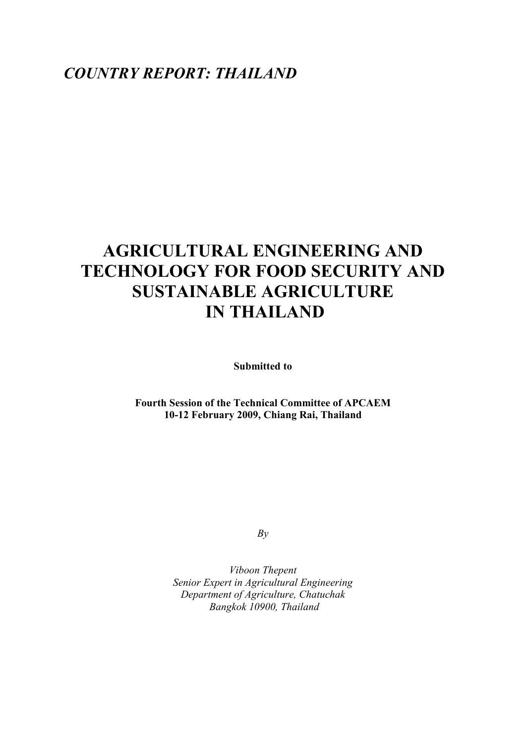# *COUNTRY REPORT: THAILAND*

# **AGRICULTURAL ENGINEERING AND TECHNOLOGY FOR FOOD SECURITY AND SUSTAINABLE AGRICULTURE IN THAILAND**

**Submitted to** 

**Fourth Session of the Technical Committee of APCAEM 10-12 February 2009, Chiang Rai, Thailand** 

*By* 

*Viboon Thepent Senior Expert in Agricultural Engineering Department of Agriculture, Chatuchak Bangkok 10900, Thailand*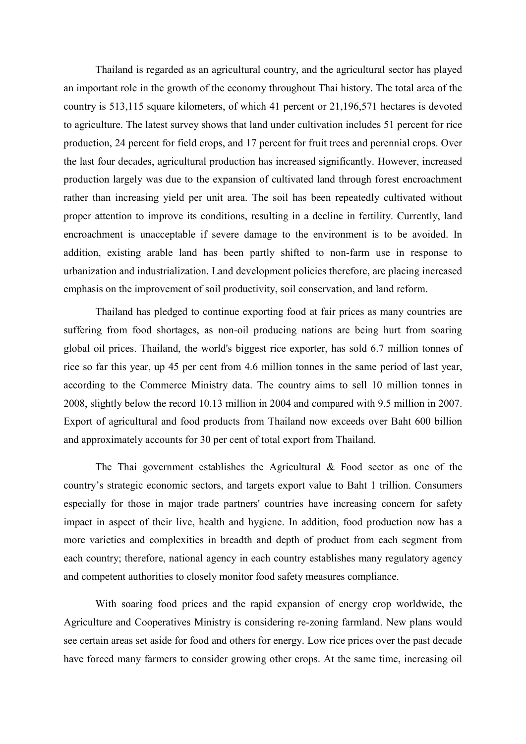Thailand is regarded as an agricultural country, and the agricultural sector has played an important role in the growth of the economy throughout Thai history. The total area of the country is 513,115 square kilometers, of which 41 percent or 21,196,571 hectares is devoted to agriculture. The latest survey shows that land under cultivation includes 51 percent for rice production, 24 percent for field crops, and 17 percent for fruit trees and perennial crops. Over the last four decades, agricultural production has increased significantly. However, increased production largely was due to the expansion of cultivated land through forest encroachment rather than increasing yield per unit area. The soil has been repeatedly cultivated without proper attention to improve its conditions, resulting in a decline in fertility. Currently, land encroachment is unacceptable if severe damage to the environment is to be avoided. In addition, existing arable land has been partly shifted to non-farm use in response to urbanization and industrialization. Land development policies therefore, are placing increased emphasis on the improvement of soil productivity, soil conservation, and land reform.

 Thailand has pledged to continue exporting food at fair prices as many countries are suffering from food shortages, as non-oil producing nations are being hurt from soaring global oil prices. Thailand, the world's biggest rice exporter, has sold 6.7 million tonnes of rice so far this year, up 45 per cent from 4.6 million tonnes in the same period of last year, according to the Commerce Ministry data. The country aims to sell 10 million tonnes in 2008, slightly below the record 10.13 million in 2004 and compared with 9.5 million in 2007. Export of agricultural and food products from Thailand now exceeds over Baht 600 billion and approximately accounts for 30 per cent of total export from Thailand.

The Thai government establishes the Agricultural & Food sector as one of the country's strategic economic sectors, and targets export value to Baht 1 trillion. Consumers especially for those in major trade partners' countries have increasing concern for safety impact in aspect of their live, health and hygiene. In addition, food production now has a more varieties and complexities in breadth and depth of product from each segment from each country; therefore, national agency in each country establishes many regulatory agency and competent authorities to closely monitor food safety measures compliance.

With soaring food prices and the rapid expansion of energy crop worldwide, the Agriculture and Cooperatives Ministry is considering re-zoning farmland. New plans would see certain areas set aside for food and others for energy. Low rice prices over the past decade have forced many farmers to consider growing other crops. At the same time, increasing oil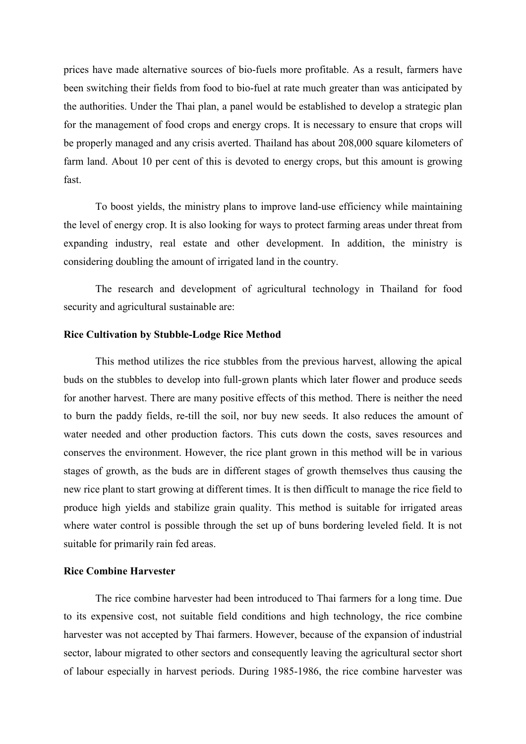prices have made alternative sources of bio-fuels more profitable. As a result, farmers have been switching their fields from food to bio-fuel at rate much greater than was anticipated by the authorities. Under the Thai plan, a panel would be established to develop a strategic plan for the management of food crops and energy crops. It is necessary to ensure that crops will be properly managed and any crisis averted. Thailand has about 208,000 square kilometers of farm land. About 10 per cent of this is devoted to energy crops, but this amount is growing fast.

To boost yields, the ministry plans to improve land-use efficiency while maintaining the level of energy crop. It is also looking for ways to protect farming areas under threat from expanding industry, real estate and other development. In addition, the ministry is considering doubling the amount of irrigated land in the country.

The research and development of agricultural technology in Thailand for food security and agricultural sustainable are:

#### **Rice Cultivation by Stubble-Lodge Rice Method**

This method utilizes the rice stubbles from the previous harvest, allowing the apical buds on the stubbles to develop into full-grown plants which later flower and produce seeds for another harvest. There are many positive effects of this method. There is neither the need to burn the paddy fields, re-till the soil, nor buy new seeds. It also reduces the amount of water needed and other production factors. This cuts down the costs, saves resources and conserves the environment. However, the rice plant grown in this method will be in various stages of growth, as the buds are in different stages of growth themselves thus causing the new rice plant to start growing at different times. It is then difficult to manage the rice field to produce high yields and stabilize grain quality. This method is suitable for irrigated areas where water control is possible through the set up of buns bordering leveled field. It is not suitable for primarily rain fed areas.

#### **Rice Combine Harvester**

The rice combine harvester had been introduced to Thai farmers for a long time. Due to its expensive cost, not suitable field conditions and high technology, the rice combine harvester was not accepted by Thai farmers. However, because of the expansion of industrial sector, labour migrated to other sectors and consequently leaving the agricultural sector short of labour especially in harvest periods. During 1985-1986, the rice combine harvester was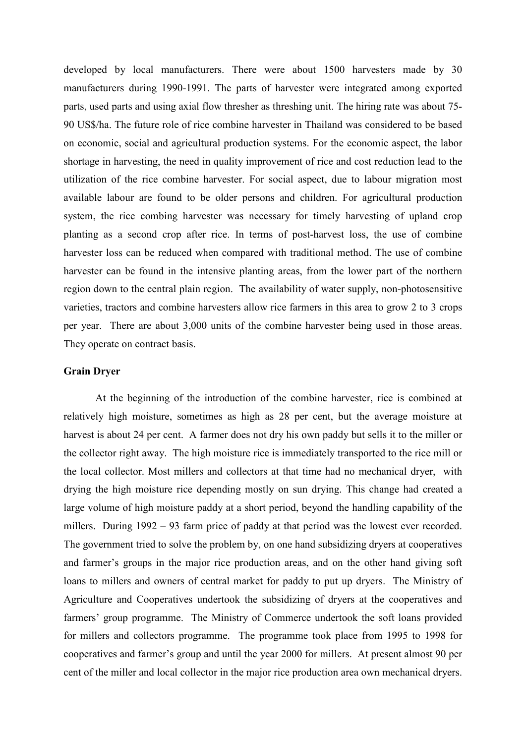developed by local manufacturers. There were about 1500 harvesters made by 30 manufacturers during 1990-1991. The parts of harvester were integrated among exported parts, used parts and using axial flow thresher as threshing unit. The hiring rate was about 75- 90 US\$/ha. The future role of rice combine harvester in Thailand was considered to be based on economic, social and agricultural production systems. For the economic aspect, the labor shortage in harvesting, the need in quality improvement of rice and cost reduction lead to the utilization of the rice combine harvester. For social aspect, due to labour migration most available labour are found to be older persons and children. For agricultural production system, the rice combing harvester was necessary for timely harvesting of upland crop planting as a second crop after rice. In terms of post-harvest loss, the use of combine harvester loss can be reduced when compared with traditional method. The use of combine harvester can be found in the intensive planting areas, from the lower part of the northern region down to the central plain region. The availability of water supply, non-photosensitive varieties, tractors and combine harvesters allow rice farmers in this area to grow 2 to 3 crops per year. There are about 3,000 units of the combine harvester being used in those areas. They operate on contract basis.

#### **Grain Dryer**

At the beginning of the introduction of the combine harvester, rice is combined at relatively high moisture, sometimes as high as 28 per cent, but the average moisture at harvest is about 24 per cent. A farmer does not dry his own paddy but sells it to the miller or the collector right away. The high moisture rice is immediately transported to the rice mill or the local collector. Most millers and collectors at that time had no mechanical dryer, with drying the high moisture rice depending mostly on sun drying. This change had created a large volume of high moisture paddy at a short period, beyond the handling capability of the millers. During 1992 – 93 farm price of paddy at that period was the lowest ever recorded. The government tried to solve the problem by, on one hand subsidizing dryers at cooperatives and farmer's groups in the major rice production areas, and on the other hand giving soft loans to millers and owners of central market for paddy to put up dryers. The Ministry of Agriculture and Cooperatives undertook the subsidizing of dryers at the cooperatives and farmers' group programme. The Ministry of Commerce undertook the soft loans provided for millers and collectors programme. The programme took place from 1995 to 1998 for cooperatives and farmer's group and until the year 2000 for millers. At present almost 90 per cent of the miller and local collector in the major rice production area own mechanical dryers.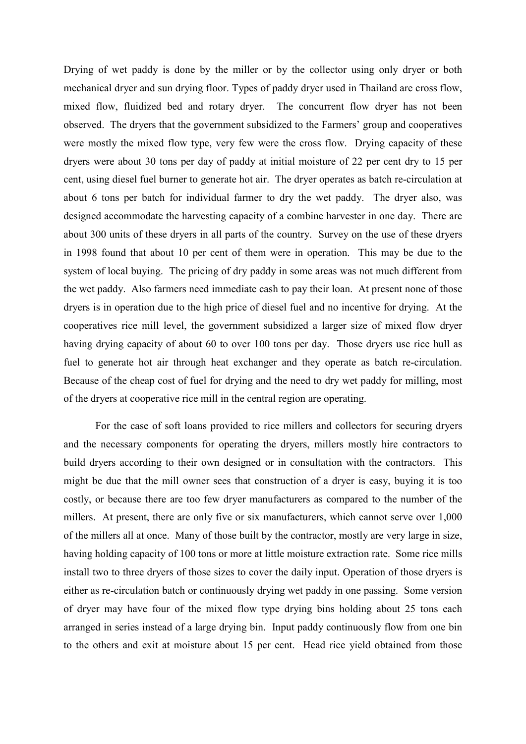Drying of wet paddy is done by the miller or by the collector using only dryer or both mechanical dryer and sun drying floor. Types of paddy dryer used in Thailand are cross flow, mixed flow, fluidized bed and rotary dryer. The concurrent flow dryer has not been observed. The dryers that the government subsidized to the Farmers' group and cooperatives were mostly the mixed flow type, very few were the cross flow. Drying capacity of these dryers were about 30 tons per day of paddy at initial moisture of 22 per cent dry to 15 per cent, using diesel fuel burner to generate hot air. The dryer operates as batch re-circulation at about 6 tons per batch for individual farmer to dry the wet paddy. The dryer also, was designed accommodate the harvesting capacity of a combine harvester in one day. There are about 300 units of these dryers in all parts of the country. Survey on the use of these dryers in 1998 found that about 10 per cent of them were in operation. This may be due to the system of local buying. The pricing of dry paddy in some areas was not much different from the wet paddy. Also farmers need immediate cash to pay their loan. At present none of those dryers is in operation due to the high price of diesel fuel and no incentive for drying. At the cooperatives rice mill level, the government subsidized a larger size of mixed flow dryer having drying capacity of about 60 to over 100 tons per day. Those dryers use rice hull as fuel to generate hot air through heat exchanger and they operate as batch re-circulation. Because of the cheap cost of fuel for drying and the need to dry wet paddy for milling, most of the dryers at cooperative rice mill in the central region are operating.

For the case of soft loans provided to rice millers and collectors for securing dryers and the necessary components for operating the dryers, millers mostly hire contractors to build dryers according to their own designed or in consultation with the contractors. This might be due that the mill owner sees that construction of a dryer is easy, buying it is too costly, or because there are too few dryer manufacturers as compared to the number of the millers. At present, there are only five or six manufacturers, which cannot serve over 1,000 of the millers all at once. Many of those built by the contractor, mostly are very large in size, having holding capacity of 100 tons or more at little moisture extraction rate. Some rice mills install two to three dryers of those sizes to cover the daily input. Operation of those dryers is either as re-circulation batch or continuously drying wet paddy in one passing. Some version of dryer may have four of the mixed flow type drying bins holding about 25 tons each arranged in series instead of a large drying bin. Input paddy continuously flow from one bin to the others and exit at moisture about 15 per cent. Head rice yield obtained from those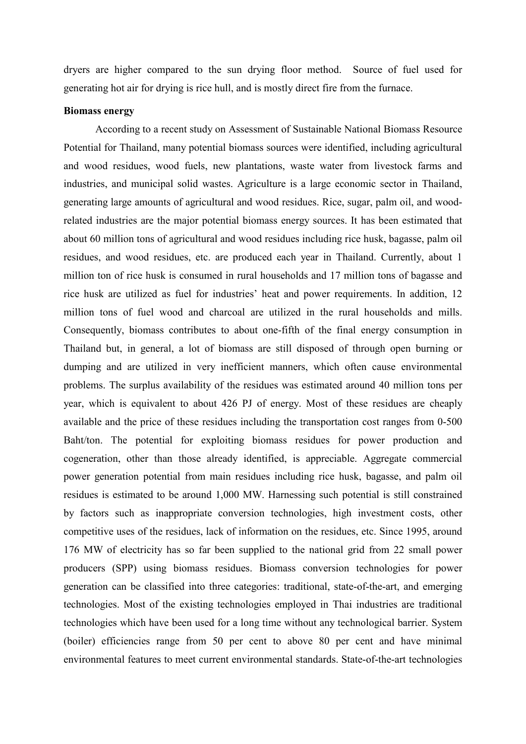dryers are higher compared to the sun drying floor method. Source of fuel used for generating hot air for drying is rice hull, and is mostly direct fire from the furnace.

### **Biomass energy**

According to a recent study on Assessment of Sustainable National Biomass Resource Potential for Thailand, many potential biomass sources were identified, including agricultural and wood residues, wood fuels, new plantations, waste water from livestock farms and industries, and municipal solid wastes. Agriculture is a large economic sector in Thailand, generating large amounts of agricultural and wood residues. Rice, sugar, palm oil, and woodrelated industries are the major potential biomass energy sources. It has been estimated that about 60 million tons of agricultural and wood residues including rice husk, bagasse, palm oil residues, and wood residues, etc. are produced each year in Thailand. Currently, about 1 million ton of rice husk is consumed in rural households and 17 million tons of bagasse and rice husk are utilized as fuel for industries' heat and power requirements. In addition, 12 million tons of fuel wood and charcoal are utilized in the rural households and mills. Consequently, biomass contributes to about one-fifth of the final energy consumption in Thailand but, in general, a lot of biomass are still disposed of through open burning or dumping and are utilized in very inefficient manners, which often cause environmental problems. The surplus availability of the residues was estimated around 40 million tons per year, which is equivalent to about 426 PJ of energy. Most of these residues are cheaply available and the price of these residues including the transportation cost ranges from 0-500 Baht/ton. The potential for exploiting biomass residues for power production and cogeneration, other than those already identified, is appreciable. Aggregate commercial power generation potential from main residues including rice husk, bagasse, and palm oil residues is estimated to be around 1,000 MW. Harnessing such potential is still constrained by factors such as inappropriate conversion technologies, high investment costs, other competitive uses of the residues, lack of information on the residues, etc. Since 1995, around 176 MW of electricity has so far been supplied to the national grid from 22 small power producers (SPP) using biomass residues. Biomass conversion technologies for power generation can be classified into three categories: traditional, state-of-the-art, and emerging technologies. Most of the existing technologies employed in Thai industries are traditional technologies which have been used for a long time without any technological barrier. System (boiler) efficiencies range from 50 per cent to above 80 per cent and have minimal environmental features to meet current environmental standards. State-of-the-art technologies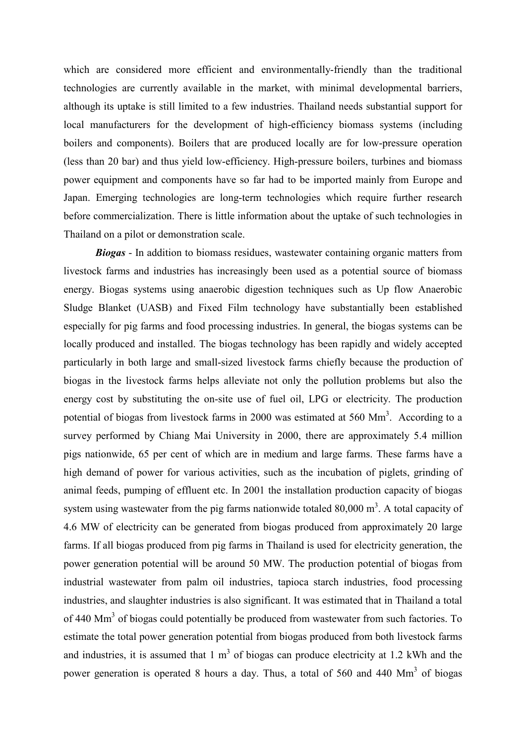which are considered more efficient and environmentally-friendly than the traditional technologies are currently available in the market, with minimal developmental barriers, although its uptake is still limited to a few industries. Thailand needs substantial support for local manufacturers for the development of high-efficiency biomass systems (including boilers and components). Boilers that are produced locally are for low-pressure operation (less than 20 bar) and thus yield low-efficiency. High-pressure boilers, turbines and biomass power equipment and components have so far had to be imported mainly from Europe and Japan. Emerging technologies are long-term technologies which require further research before commercialization. There is little information about the uptake of such technologies in Thailand on a pilot or demonstration scale.

*Biogas* - In addition to biomass residues, wastewater containing organic matters from livestock farms and industries has increasingly been used as a potential source of biomass energy. Biogas systems using anaerobic digestion techniques such as Up flow Anaerobic Sludge Blanket (UASB) and Fixed Film technology have substantially been established especially for pig farms and food processing industries. In general, the biogas systems can be locally produced and installed. The biogas technology has been rapidly and widely accepted particularly in both large and small-sized livestock farms chiefly because the production of biogas in the livestock farms helps alleviate not only the pollution problems but also the energy cost by substituting the on-site use of fuel oil, LPG or electricity. The production potential of biogas from livestock farms in 2000 was estimated at 560  $\text{Mm}^3$ . According to a survey performed by Chiang Mai University in 2000, there are approximately 5.4 million pigs nationwide, 65 per cent of which are in medium and large farms. These farms have a high demand of power for various activities, such as the incubation of piglets, grinding of animal feeds, pumping of effluent etc. In 2001 the installation production capacity of biogas system using wastewater from the pig farms nationwide totaled  $80,000 \text{ m}^3$ . A total capacity of 4.6 MW of electricity can be generated from biogas produced from approximately 20 large farms. If all biogas produced from pig farms in Thailand is used for electricity generation, the power generation potential will be around 50 MW. The production potential of biogas from industrial wastewater from palm oil industries, tapioca starch industries, food processing industries, and slaughter industries is also significant. It was estimated that in Thailand a total of 440 Mm<sup>3</sup> of biogas could potentially be produced from wastewater from such factories. To estimate the total power generation potential from biogas produced from both livestock farms and industries, it is assumed that  $1 \text{ m}^3$  of biogas can produce electricity at 1.2 kWh and the power generation is operated 8 hours a day. Thus, a total of 560 and 440 Mm<sup>3</sup> of biogas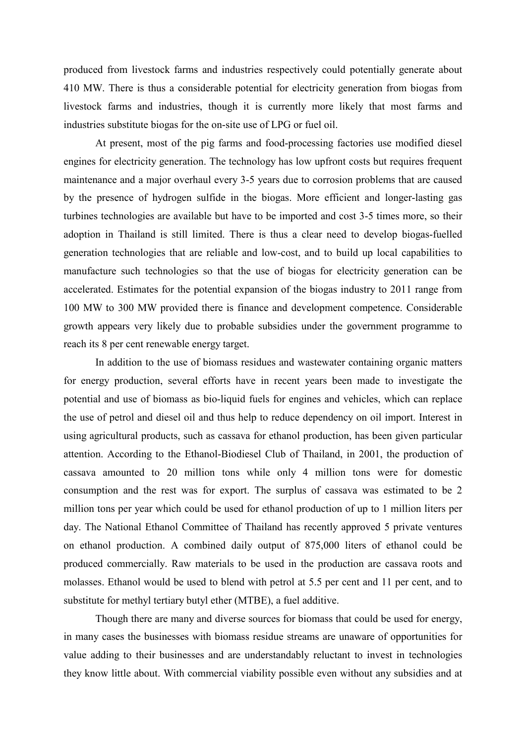produced from livestock farms and industries respectively could potentially generate about 410 MW. There is thus a considerable potential for electricity generation from biogas from livestock farms and industries, though it is currently more likely that most farms and industries substitute biogas for the on-site use of LPG or fuel oil.

At present, most of the pig farms and food-processing factories use modified diesel engines for electricity generation. The technology has low upfront costs but requires frequent maintenance and a major overhaul every 3-5 years due to corrosion problems that are caused by the presence of hydrogen sulfide in the biogas. More efficient and longer-lasting gas turbines technologies are available but have to be imported and cost 3-5 times more, so their adoption in Thailand is still limited. There is thus a clear need to develop biogas-fuelled generation technologies that are reliable and low-cost, and to build up local capabilities to manufacture such technologies so that the use of biogas for electricity generation can be accelerated. Estimates for the potential expansion of the biogas industry to 2011 range from 100 MW to 300 MW provided there is finance and development competence. Considerable growth appears very likely due to probable subsidies under the government programme to reach its 8 per cent renewable energy target.

In addition to the use of biomass residues and wastewater containing organic matters for energy production, several efforts have in recent years been made to investigate the potential and use of biomass as bio-liquid fuels for engines and vehicles, which can replace the use of petrol and diesel oil and thus help to reduce dependency on oil import. Interest in using agricultural products, such as cassava for ethanol production, has been given particular attention. According to the Ethanol-Biodiesel Club of Thailand, in 2001, the production of cassava amounted to 20 million tons while only 4 million tons were for domestic consumption and the rest was for export. The surplus of cassava was estimated to be 2 million tons per year which could be used for ethanol production of up to 1 million liters per day. The National Ethanol Committee of Thailand has recently approved 5 private ventures on ethanol production. A combined daily output of 875,000 liters of ethanol could be produced commercially. Raw materials to be used in the production are cassava roots and molasses. Ethanol would be used to blend with petrol at 5.5 per cent and 11 per cent, and to substitute for methyl tertiary butyl ether (MTBE), a fuel additive.

Though there are many and diverse sources for biomass that could be used for energy, in many cases the businesses with biomass residue streams are unaware of opportunities for value adding to their businesses and are understandably reluctant to invest in technologies they know little about. With commercial viability possible even without any subsidies and at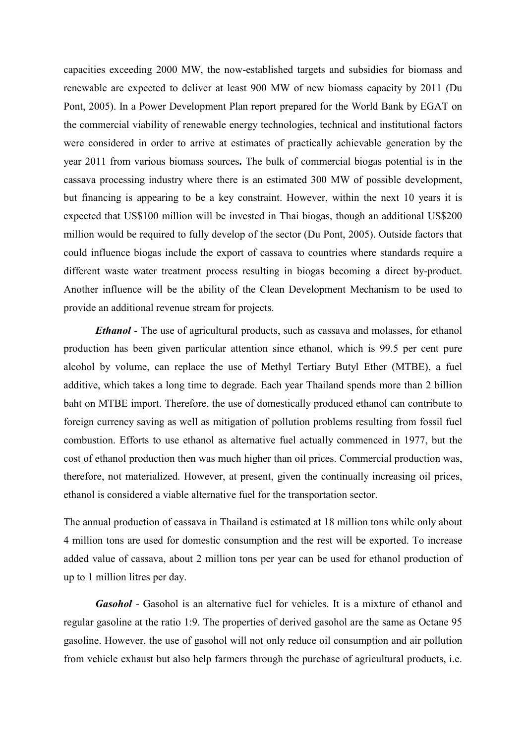capacities exceeding 2000 MW, the now-established targets and subsidies for biomass and renewable are expected to deliver at least 900 MW of new biomass capacity by 2011 (Du Pont, 2005). In a Power Development Plan report prepared for the World Bank by EGAT on the commercial viability of renewable energy technologies, technical and institutional factors were considered in order to arrive at estimates of practically achievable generation by the year 2011 from various biomass sources**.** The bulk of commercial biogas potential is in the cassava processing industry where there is an estimated 300 MW of possible development, but financing is appearing to be a key constraint. However, within the next 10 years it is expected that US\$100 million will be invested in Thai biogas, though an additional US\$200 million would be required to fully develop of the sector (Du Pont, 2005). Outside factors that could influence biogas include the export of cassava to countries where standards require a different waste water treatment process resulting in biogas becoming a direct by-product. Another influence will be the ability of the Clean Development Mechanism to be used to provide an additional revenue stream for projects.

*Ethanol* - The use of agricultural products, such as cassava and molasses, for ethanol production has been given particular attention since ethanol, which is 99.5 per cent pure alcohol by volume, can replace the use of Methyl Tertiary Butyl Ether (MTBE), a fuel additive, which takes a long time to degrade. Each year Thailand spends more than 2 billion baht on MTBE import. Therefore, the use of domestically produced ethanol can contribute to foreign currency saving as well as mitigation of pollution problems resulting from fossil fuel combustion. Efforts to use ethanol as alternative fuel actually commenced in 1977, but the cost of ethanol production then was much higher than oil prices. Commercial production was, therefore, not materialized. However, at present, given the continually increasing oil prices, ethanol is considered a viable alternative fuel for the transportation sector.

The annual production of cassava in Thailand is estimated at 18 million tons while only about 4 million tons are used for domestic consumption and the rest will be exported. To increase added value of cassava, about 2 million tons per year can be used for ethanol production of up to 1 million litres per day.

*Gasohol* - Gasohol is an alternative fuel for vehicles. It is a mixture of ethanol and regular gasoline at the ratio 1:9. The properties of derived gasohol are the same as Octane 95 gasoline. However, the use of gasohol will not only reduce oil consumption and air pollution from vehicle exhaust but also help farmers through the purchase of agricultural products, i.e.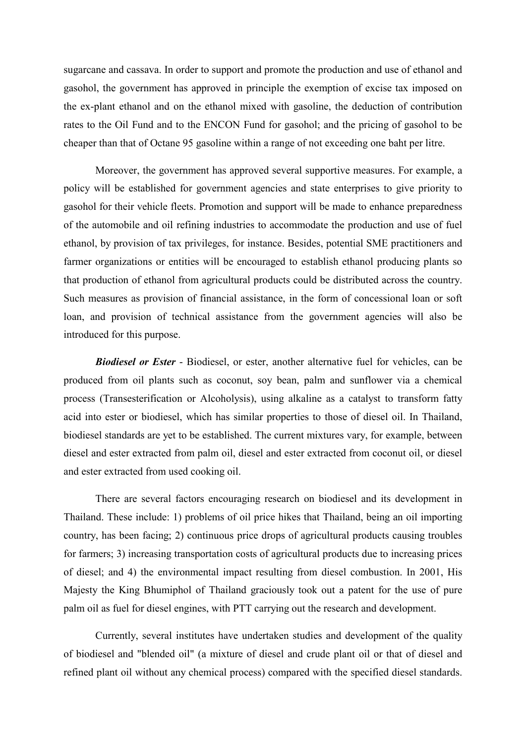sugarcane and cassava. In order to support and promote the production and use of ethanol and gasohol, the government has approved in principle the exemption of excise tax imposed on the ex-plant ethanol and on the ethanol mixed with gasoline, the deduction of contribution rates to the Oil Fund and to the ENCON Fund for gasohol; and the pricing of gasohol to be cheaper than that of Octane 95 gasoline within a range of not exceeding one baht per litre.

Moreover, the government has approved several supportive measures. For example, a policy will be established for government agencies and state enterprises to give priority to gasohol for their vehicle fleets. Promotion and support will be made to enhance preparedness of the automobile and oil refining industries to accommodate the production and use of fuel ethanol, by provision of tax privileges, for instance. Besides, potential SME practitioners and farmer organizations or entities will be encouraged to establish ethanol producing plants so that production of ethanol from agricultural products could be distributed across the country. Such measures as provision of financial assistance, in the form of concessional loan or soft loan, and provision of technical assistance from the government agencies will also be introduced for this purpose.

*Biodiesel or Ester* - Biodiesel, or ester, another alternative fuel for vehicles, can be produced from oil plants such as coconut, soy bean, palm and sunflower via a chemical process (Transesterification or Alcoholysis), using alkaline as a catalyst to transform fatty acid into ester or biodiesel, which has similar properties to those of diesel oil. In Thailand, biodiesel standards are yet to be established. The current mixtures vary, for example, between diesel and ester extracted from palm oil, diesel and ester extracted from coconut oil, or diesel and ester extracted from used cooking oil.

There are several factors encouraging research on biodiesel and its development in Thailand. These include: 1) problems of oil price hikes that Thailand, being an oil importing country, has been facing; 2) continuous price drops of agricultural products causing troubles for farmers; 3) increasing transportation costs of agricultural products due to increasing prices of diesel; and 4) the environmental impact resulting from diesel combustion. In 2001, His Majesty the King Bhumiphol of Thailand graciously took out a patent for the use of pure palm oil as fuel for diesel engines, with PTT carrying out the research and development.

Currently, several institutes have undertaken studies and development of the quality of biodiesel and "blended oil" (a mixture of diesel and crude plant oil or that of diesel and refined plant oil without any chemical process) compared with the specified diesel standards.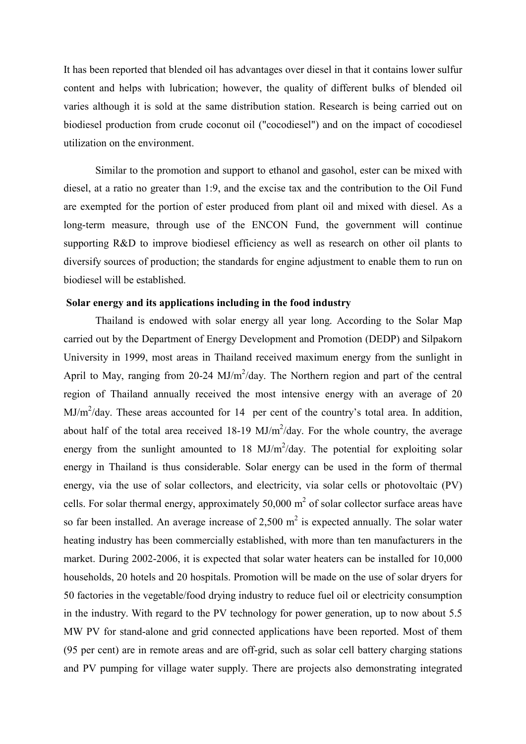It has been reported that blended oil has advantages over diesel in that it contains lower sulfur content and helps with lubrication; however, the quality of different bulks of blended oil varies although it is sold at the same distribution station. Research is being carried out on biodiesel production from crude coconut oil ("cocodiesel") and on the impact of cocodiesel utilization on the environment.

Similar to the promotion and support to ethanol and gasohol, ester can be mixed with diesel, at a ratio no greater than 1:9, and the excise tax and the contribution to the Oil Fund are exempted for the portion of ester produced from plant oil and mixed with diesel. As a long-term measure, through use of the ENCON Fund, the government will continue supporting R&D to improve biodiesel efficiency as well as research on other oil plants to diversify sources of production; the standards for engine adjustment to enable them to run on biodiesel will be established.

#### **Solar energy and its applications including in the food industry**

Thailand is endowed with solar energy all year long. According to the Solar Map carried out by the Department of Energy Development and Promotion (DEDP) and Silpakorn University in 1999, most areas in Thailand received maximum energy from the sunlight in April to May, ranging from 20-24  $MJ/m^2$ /day. The Northern region and part of the central region of Thailand annually received the most intensive energy with an average of 20  $MJ/m<sup>2</sup>/day$ . These areas accounted for 14 per cent of the country's total area. In addition, about half of the total area received  $18-19$  MJ/m<sup>2</sup>/day. For the whole country, the average energy from the sunlight amounted to  $18 \text{ MJ/m}^2/\text{day}$ . The potential for exploiting solar energy in Thailand is thus considerable. Solar energy can be used in the form of thermal energy, via the use of solar collectors, and electricity, via solar cells or photovoltaic (PV) cells. For solar thermal energy, approximately  $50,000 \text{ m}^2$  of solar collector surface areas have so far been installed. An average increase of 2,500  $m<sup>2</sup>$  is expected annually. The solar water heating industry has been commercially established, with more than ten manufacturers in the market. During 2002-2006, it is expected that solar water heaters can be installed for 10,000 households, 20 hotels and 20 hospitals. Promotion will be made on the use of solar dryers for 50 factories in the vegetable/food drying industry to reduce fuel oil or electricity consumption in the industry. With regard to the PV technology for power generation, up to now about 5.5 MW PV for stand-alone and grid connected applications have been reported. Most of them (95 per cent) are in remote areas and are off-grid, such as solar cell battery charging stations and PV pumping for village water supply. There are projects also demonstrating integrated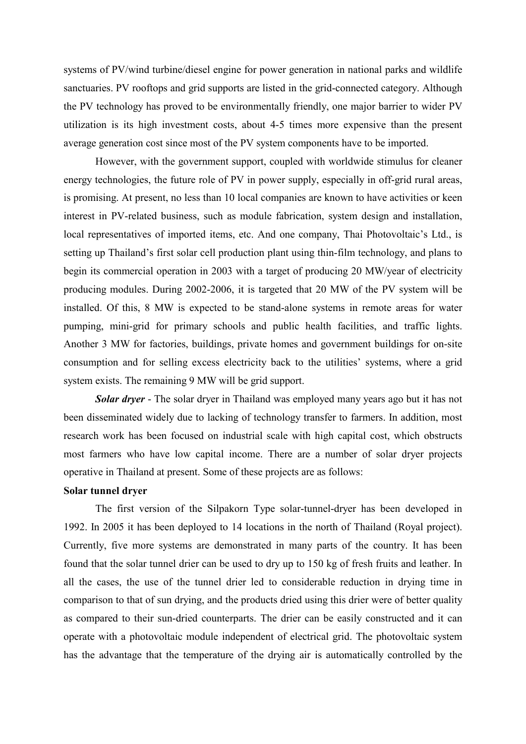systems of PV/wind turbine/diesel engine for power generation in national parks and wildlife sanctuaries. PV rooftops and grid supports are listed in the grid-connected category. Although the PV technology has proved to be environmentally friendly, one major barrier to wider PV utilization is its high investment costs, about 4-5 times more expensive than the present average generation cost since most of the PV system components have to be imported.

However, with the government support, coupled with worldwide stimulus for cleaner energy technologies, the future role of PV in power supply, especially in off-grid rural areas, is promising. At present, no less than 10 local companies are known to have activities or keen interest in PV-related business, such as module fabrication, system design and installation, local representatives of imported items, etc. And one company, Thai Photovoltaic's Ltd., is setting up Thailand's first solar cell production plant using thin-film technology, and plans to begin its commercial operation in 2003 with a target of producing 20 MW/year of electricity producing modules. During 2002-2006, it is targeted that 20 MW of the PV system will be installed. Of this, 8 MW is expected to be stand-alone systems in remote areas for water pumping, mini-grid for primary schools and public health facilities, and traffic lights. Another 3 MW for factories, buildings, private homes and government buildings for on-site consumption and for selling excess electricity back to the utilities' systems, where a grid system exists. The remaining 9 MW will be grid support.

*Solar dryer* - The solar dryer in Thailand was employed many years ago but it has not been disseminated widely due to lacking of technology transfer to farmers. In addition, most research work has been focused on industrial scale with high capital cost, which obstructs most farmers who have low capital income. There are a number of solar dryer projects operative in Thailand at present. Some of these projects are as follows:

#### **Solar tunnel dryer**

The first version of the Silpakorn Type solar-tunnel-dryer has been developed in 1992. In 2005 it has been deployed to 14 locations in the north of Thailand (Royal project). Currently, five more systems are demonstrated in many parts of the country. It has been found that the solar tunnel drier can be used to dry up to 150 kg of fresh fruits and leather. In all the cases, the use of the tunnel drier led to considerable reduction in drying time in comparison to that of sun drying, and the products dried using this drier were of better quality as compared to their sun-dried counterparts. The drier can be easily constructed and it can operate with a photovoltaic module independent of electrical grid. The photovoltaic system has the advantage that the temperature of the drying air is automatically controlled by the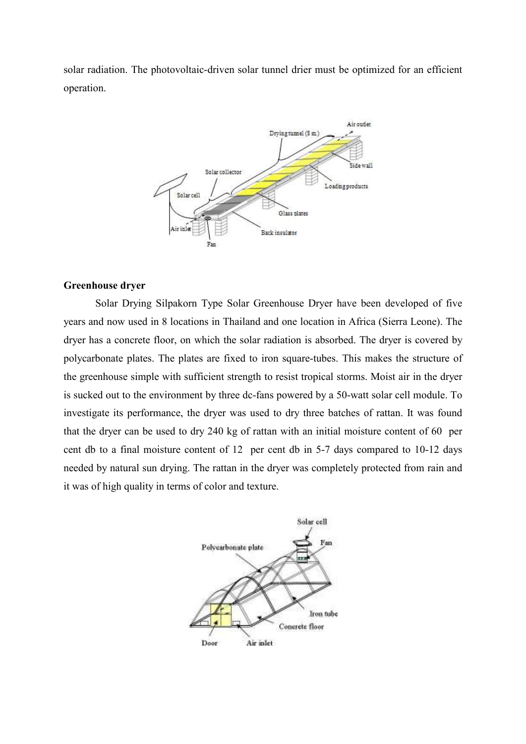solar radiation. The photovoltaic-driven solar tunnel drier must be optimized for an efficient operation.



## **Greenhouse dryer**

Solar Drying Silpakorn Type Solar Greenhouse Dryer have been developed of five years and now used in 8 locations in Thailand and one location in Africa (Sierra Leone). The dryer has a concrete floor, on which the solar radiation is absorbed. The dryer is covered by polycarbonate plates. The plates are fixed to iron square-tubes. This makes the structure of the greenhouse simple with sufficient strength to resist tropical storms. Moist air in the dryer is sucked out to the environment by three dc-fans powered by a 50-watt solar cell module. To investigate its performance, the dryer was used to dry three batches of rattan. It was found that the dryer can be used to dry 240 kg of rattan with an initial moisture content of 60 per cent db to a final moisture content of 12 per cent db in 5-7 days compared to 10-12 days needed by natural sun drying. The rattan in the dryer was completely protected from rain and it was of high quality in terms of color and texture.

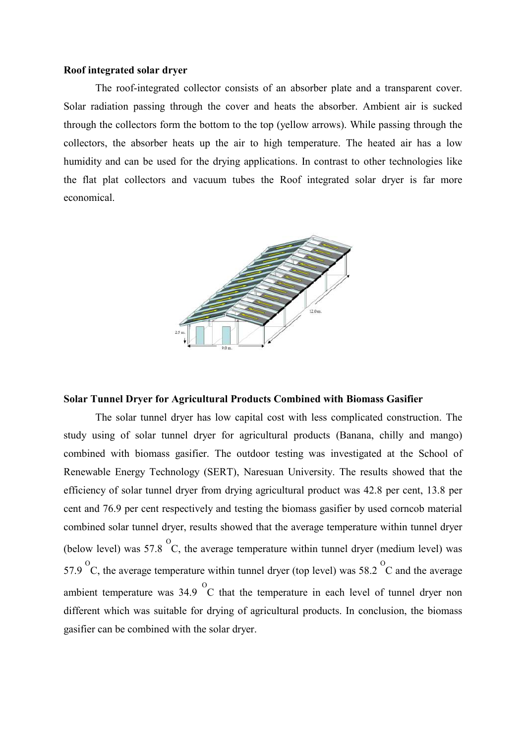#### **Roof integrated solar dryer**

The roof-integrated collector consists of an absorber plate and a transparent cover. Solar radiation passing through the cover and heats the absorber. Ambient air is sucked through the collectors form the bottom to the top (yellow arrows). While passing through the collectors, the absorber heats up the air to high temperature. The heated air has a low humidity and can be used for the drying applications. In contrast to other technologies like the flat plat collectors and vacuum tubes the Roof integrated solar dryer is far more economical.



#### **Solar Tunnel Dryer for Agricultural Products Combined with Biomass Gasifier**

The solar tunnel dryer has low capital cost with less complicated construction. The study using of solar tunnel dryer for agricultural products (Banana, chilly and mango) combined with biomass gasifier. The outdoor testing was investigated at the School of Renewable Energy Technology (SERT), Naresuan University. The results showed that the efficiency of solar tunnel dryer from drying agricultural product was 42.8 per cent, 13.8 per cent and 76.9 per cent respectively and testing the biomass gasifier by used corncob material combined solar tunnel dryer, results showed that the average temperature within tunnel dryer (below level) was 57.8  $\degree$ C, the average temperature within tunnel dryer (medium level) was 57.9  $\degree$ C, the average temperature within tunnel dryer (top level) was 58.2  $\degree$ C and the average ambient temperature was  $34.9\text{ °C}$  that the temperature in each level of tunnel dryer non different which was suitable for drying of agricultural products. In conclusion, the biomass gasifier can be combined with the solar dryer.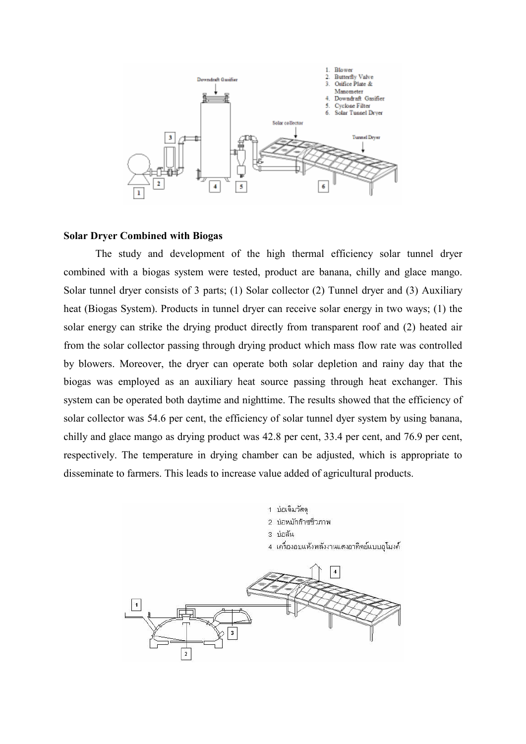

#### **Solar Dryer Combined with Biogas**

The study and development of the high thermal efficiency solar tunnel dryer combined with a biogas system were tested, product are banana, chilly and glace mango. Solar tunnel dryer consists of 3 parts; (1) Solar collector (2) Tunnel dryer and (3) Auxiliary heat (Biogas System). Products in tunnel dryer can receive solar energy in two ways; (1) the solar energy can strike the drying product directly from transparent roof and (2) heated air from the solar collector passing through drying product which mass flow rate was controlled by blowers. Moreover, the dryer can operate both solar depletion and rainy day that the biogas was employed as an auxiliary heat source passing through heat exchanger. This system can be operated both daytime and nighttime. The results showed that the efficiency of solar collector was 54.6 per cent, the efficiency of solar tunnel dyer system by using banana, chilly and glace mango as drying product was 42.8 per cent, 33.4 per cent, and 76.9 per cent, respectively. The temperature in drying chamber can be adjusted, which is appropriate to disseminate to farmers. This leads to increase value added of agricultural products.

> 1 บ่อเติมวัสด 2 บ่อหมักก๊าซชีวภาพ 3 บ่อล้น 4 เครื่องอบแห้งพลังงานแสงอาทิตย์แบบอุโมงค์

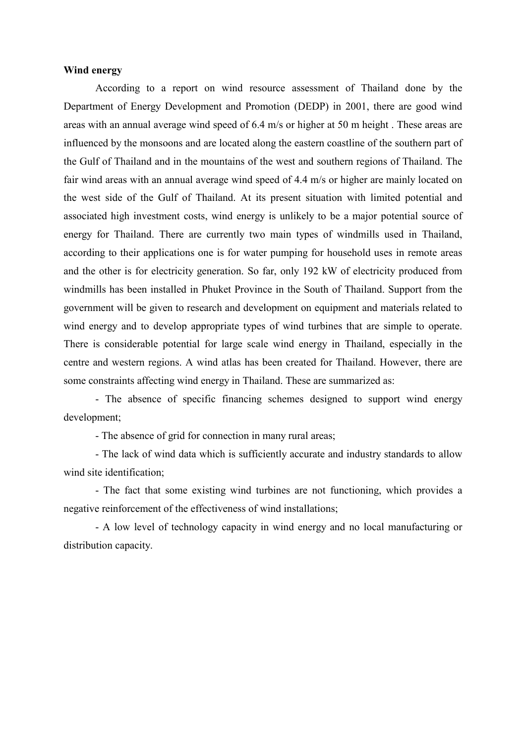#### **Wind energy**

According to a report on wind resource assessment of Thailand done by the Department of Energy Development and Promotion (DEDP) in 2001, there are good wind areas with an annual average wind speed of 6.4 m/s or higher at 50 m height . These areas are influenced by the monsoons and are located along the eastern coastline of the southern part of the Gulf of Thailand and in the mountains of the west and southern regions of Thailand. The fair wind areas with an annual average wind speed of 4.4 m/s or higher are mainly located on the west side of the Gulf of Thailand. At its present situation with limited potential and associated high investment costs, wind energy is unlikely to be a major potential source of energy for Thailand. There are currently two main types of windmills used in Thailand, according to their applications one is for water pumping for household uses in remote areas and the other is for electricity generation. So far, only 192 kW of electricity produced from windmills has been installed in Phuket Province in the South of Thailand. Support from the government will be given to research and development on equipment and materials related to wind energy and to develop appropriate types of wind turbines that are simple to operate. There is considerable potential for large scale wind energy in Thailand, especially in the centre and western regions. A wind atlas has been created for Thailand. However, there are some constraints affecting wind energy in Thailand. These are summarized as:

- The absence of specific financing schemes designed to support wind energy development;

- The absence of grid for connection in many rural areas;

- The lack of wind data which is sufficiently accurate and industry standards to allow wind site identification;

- The fact that some existing wind turbines are not functioning, which provides a negative reinforcement of the effectiveness of wind installations;

- A low level of technology capacity in wind energy and no local manufacturing or distribution capacity.